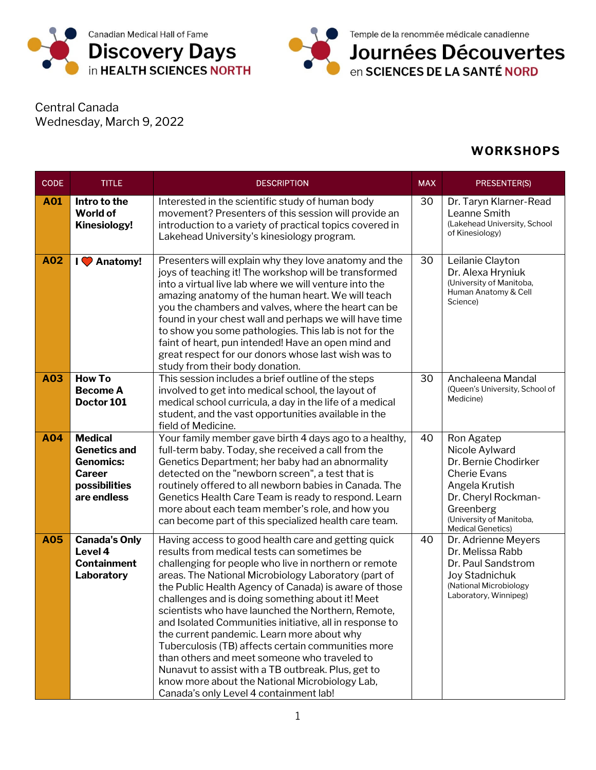



Central Canada Wednesday, March 9, 2022

## **WORKSHOPS**

| <b>CODE</b> | <b>TITLE</b>                                                                                               | <b>DESCRIPTION</b>                                                                                                                                                                                                                                                                                                                                                                                                                                                                                                                                                                                                                                                                                                                                      | <b>MAX</b> | PRESENTER(S)                                                                                                                                                                              |
|-------------|------------------------------------------------------------------------------------------------------------|---------------------------------------------------------------------------------------------------------------------------------------------------------------------------------------------------------------------------------------------------------------------------------------------------------------------------------------------------------------------------------------------------------------------------------------------------------------------------------------------------------------------------------------------------------------------------------------------------------------------------------------------------------------------------------------------------------------------------------------------------------|------------|-------------------------------------------------------------------------------------------------------------------------------------------------------------------------------------------|
| A01         | Intro to the<br>World of<br><b>Kinesiology!</b>                                                            | Interested in the scientific study of human body<br>movement? Presenters of this session will provide an<br>introduction to a variety of practical topics covered in<br>Lakehead University's kinesiology program.                                                                                                                                                                                                                                                                                                                                                                                                                                                                                                                                      | 30         | Dr. Taryn Klarner-Read<br>Leanne Smith<br>(Lakehead University, School<br>of Kinesiology)                                                                                                 |
| A02         | I C Anatomy!                                                                                               | Presenters will explain why they love anatomy and the<br>joys of teaching it! The workshop will be transformed<br>into a virtual live lab where we will venture into the<br>amazing anatomy of the human heart. We will teach<br>you the chambers and valves, where the heart can be<br>found in your chest wall and perhaps we will have time<br>to show you some pathologies. This lab is not for the<br>faint of heart, pun intended! Have an open mind and<br>great respect for our donors whose last wish was to<br>study from their body donation.                                                                                                                                                                                                | 30         | Leilanie Clayton<br>Dr. Alexa Hryniuk<br>(University of Manitoba,<br>Human Anatomy & Cell<br>Science)                                                                                     |
| A03         | <b>How To</b><br><b>Become A</b><br>Doctor 101                                                             | This session includes a brief outline of the steps<br>involved to get into medical school, the layout of<br>medical school curricula, a day in the life of a medical<br>student, and the vast opportunities available in the<br>field of Medicine.                                                                                                                                                                                                                                                                                                                                                                                                                                                                                                      | 30         | Anchaleena Mandal<br>(Queen's University, School of<br>Medicine)                                                                                                                          |
| A04         | <b>Medical</b><br><b>Genetics and</b><br><b>Genomics:</b><br><b>Career</b><br>possibilities<br>are endless | Your family member gave birth 4 days ago to a healthy,<br>full-term baby. Today, she received a call from the<br>Genetics Department; her baby had an abnormality<br>detected on the "newborn screen", a test that is<br>routinely offered to all newborn babies in Canada. The<br>Genetics Health Care Team is ready to respond. Learn<br>more about each team member's role, and how you<br>can become part of this specialized health care team.                                                                                                                                                                                                                                                                                                     | 40         | Ron Agatep<br>Nicole Aylward<br>Dr. Bernie Chodirker<br><b>Cherie Evans</b><br>Angela Krutish<br>Dr. Cheryl Rockman-<br>Greenberg<br>(University of Manitoba,<br><b>Medical Genetics)</b> |
| A05         | <b>Canada's Only</b><br>Level 4<br><b>Containment</b><br>Laboratory                                        | Having access to good health care and getting quick<br>results from medical tests can sometimes be<br>challenging for people who live in northern or remote<br>areas. The National Microbiology Laboratory (part of<br>the Public Health Agency of Canada) is aware of those<br>challenges and is doing something about it! Meet<br>scientists who have launched the Northern, Remote,<br>and Isolated Communities initiative, all in response to<br>the current pandemic. Learn more about why<br>Tuberculosis (TB) affects certain communities more<br>than others and meet someone who traveled to<br>Nunavut to assist with a TB outbreak. Plus, get to<br>know more about the National Microbiology Lab,<br>Canada's only Level 4 containment lab! | 40         | Dr. Adrienne Meyers<br>Dr. Melissa Rabb<br>Dr. Paul Sandstrom<br>Joy Stadnichuk<br>(National Microbiology<br>Laboratory, Winnipeg)                                                        |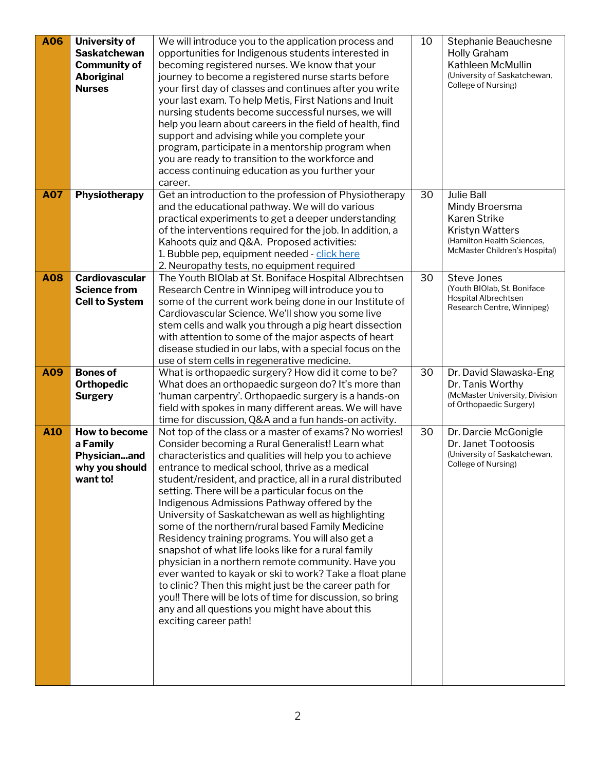| <b>A06</b> | University of<br><b>Saskatchewan</b><br><b>Community of</b><br><b>Aboriginal</b><br><b>Nurses</b> | We will introduce you to the application process and<br>opportunities for Indigenous students interested in<br>becoming registered nurses. We know that your<br>journey to become a registered nurse starts before<br>your first day of classes and continues after you write<br>your last exam. To help Metis, First Nations and Inuit<br>nursing students become successful nurses, we will<br>help you learn about careers in the field of health, find<br>support and advising while you complete your<br>program, participate in a mentorship program when<br>you are ready to transition to the workforce and<br>access continuing education as you further your<br>career.                                                                                                                                                                                                                                                  | 10 | Stephanie Beauchesne<br>Holly Graham<br>Kathleen McMullin<br>(University of Saskatchewan,<br>College of Nursing)                                    |
|------------|---------------------------------------------------------------------------------------------------|------------------------------------------------------------------------------------------------------------------------------------------------------------------------------------------------------------------------------------------------------------------------------------------------------------------------------------------------------------------------------------------------------------------------------------------------------------------------------------------------------------------------------------------------------------------------------------------------------------------------------------------------------------------------------------------------------------------------------------------------------------------------------------------------------------------------------------------------------------------------------------------------------------------------------------|----|-----------------------------------------------------------------------------------------------------------------------------------------------------|
| <b>A07</b> | Physiotherapy                                                                                     | Get an introduction to the profession of Physiotherapy<br>and the educational pathway. We will do various<br>practical experiments to get a deeper understanding<br>of the interventions required for the job. In addition, a<br>Kahoots quiz and Q&A. Proposed activities:<br>1. Bubble pep, equipment needed - click here<br>2. Neuropathy tests, no equipment required                                                                                                                                                                                                                                                                                                                                                                                                                                                                                                                                                          | 30 | <b>Julie Ball</b><br>Mindy Broersma<br><b>Karen Strike</b><br><b>Kristyn Watters</b><br>(Hamilton Health Sciences,<br>McMaster Children's Hospital) |
| <b>A08</b> | <b>Cardiovascular</b><br><b>Science from</b><br><b>Cell to System</b>                             | The Youth BIOlab at St. Boniface Hospital Albrechtsen<br>Research Centre in Winnipeg will introduce you to<br>some of the current work being done in our Institute of<br>Cardiovascular Science. We'll show you some live<br>stem cells and walk you through a pig heart dissection<br>with attention to some of the major aspects of heart<br>disease studied in our labs, with a special focus on the<br>use of stem cells in regenerative medicine.                                                                                                                                                                                                                                                                                                                                                                                                                                                                             | 30 | Steve Jones<br>(Youth BIOlab, St. Boniface<br>Hospital Albrechtsen<br>Research Centre, Winnipeg)                                                    |
| A09        | <b>Bones of</b><br><b>Orthopedic</b><br><b>Surgery</b>                                            | What is orthopaedic surgery? How did it come to be?<br>What does an orthopaedic surgeon do? It's more than<br>'human carpentry'. Orthopaedic surgery is a hands-on<br>field with spokes in many different areas. We will have<br>time for discussion, Q&A and a fun hands-on activity.                                                                                                                                                                                                                                                                                                                                                                                                                                                                                                                                                                                                                                             | 30 | Dr. David Slawaska-Eng<br>Dr. Tanis Worthy<br>(McMaster University, Division<br>of Orthopaedic Surgery)                                             |
| A10        | How to become<br>a Family<br>Physicianand<br>why you should<br>want to!                           | Not top of the class or a master of exams? No worries!<br>Consider becoming a Rural Generalist! Learn what<br>characteristics and qualities will help you to achieve<br>entrance to medical school, thrive as a medical<br>student/resident, and practice, all in a rural distributed<br>setting. There will be a particular focus on the<br>Indigenous Admissions Pathway offered by the<br>University of Saskatchewan as well as highlighting<br>some of the northern/rural based Family Medicine<br>Residency training programs. You will also get a<br>snapshot of what life looks like for a rural family<br>physician in a northern remote community. Have you<br>ever wanted to kayak or ski to work? Take a float plane<br>to clinic? Then this might just be the career path for<br>you!! There will be lots of time for discussion, so bring<br>any and all questions you might have about this<br>exciting career path! | 30 | Dr. Darcie McGonigle<br>Dr. Janet Tootoosis<br>(University of Saskatchewan,<br>College of Nursing)                                                  |